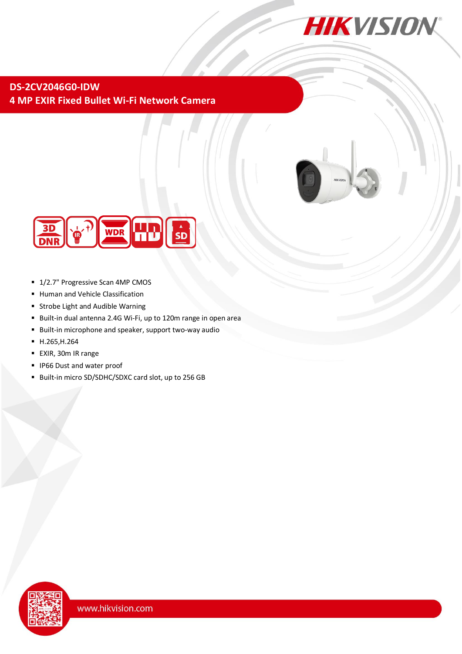

# **DS-2CV2046G0-IDW 4 MP EXIR Fixed Bullet Wi-Fi Network Camera**



- 1/2.7" Progressive Scan 4MP CMOS
- **Human and Vehicle Classification**
- Strobe Light and Audible Warning
- Built-in dual antenna 2.4G Wi-Fi, up to 120m range in open area
- Built-in microphone and speaker, support two-way audio
- H.265,H.264
- EXIR, 30m IR range
- IP66 Dust and water proof
- Built-in micro SD/SDHC/SDXC card slot, up to 256 GB

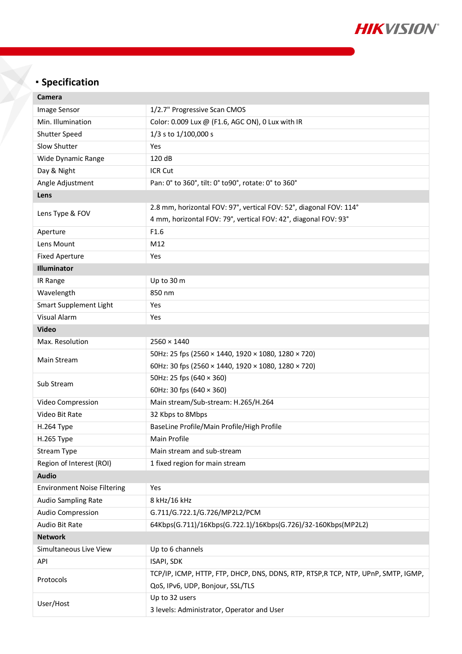

# **Specification**

| Camera                             |                                                                                   |  |
|------------------------------------|-----------------------------------------------------------------------------------|--|
| Image Sensor                       | 1/2.7" Progressive Scan CMOS                                                      |  |
| Min. Illumination                  | Color: 0.009 Lux @ (F1.6, AGC ON), 0 Lux with IR                                  |  |
| <b>Shutter Speed</b>               | 1/3 s to 1/100,000 s                                                              |  |
| Slow Shutter                       | Yes                                                                               |  |
| Wide Dynamic Range                 | 120 dB                                                                            |  |
| Day & Night                        | ICR Cut                                                                           |  |
| Angle Adjustment                   | Pan: 0° to 360°, tilt: 0° to 90°, rotate: 0° to 360°                              |  |
| Lens                               |                                                                                   |  |
|                                    | 2.8 mm, horizontal FOV: 97°, vertical FOV: 52°, diagonal FOV: 114°                |  |
| Lens Type & FOV                    | 4 mm, horizontal FOV: 79°, vertical FOV: 42°, diagonal FOV: 93°                   |  |
| Aperture                           | F1.6                                                                              |  |
| Lens Mount                         | M12                                                                               |  |
| <b>Fixed Aperture</b>              | Yes                                                                               |  |
| <b>Illuminator</b>                 |                                                                                   |  |
| IR Range                           | Up to 30 m                                                                        |  |
| Wavelength                         | 850 nm                                                                            |  |
| Smart Supplement Light             | <b>Yes</b>                                                                        |  |
| <b>Visual Alarm</b>                | Yes                                                                               |  |
| <b>Video</b>                       |                                                                                   |  |
| Max. Resolution                    | $2560 \times 1440$                                                                |  |
| Main Stream                        | 50Hz: 25 fps (2560 × 1440, 1920 × 1080, 1280 × 720)                               |  |
|                                    | 60Hz: 30 fps (2560 × 1440, 1920 × 1080, 1280 × 720)                               |  |
| Sub Stream                         | 50Hz: 25 fps (640 × 360)                                                          |  |
|                                    | 60Hz: 30 fps $(640 \times 360)$                                                   |  |
| Video Compression                  | Main stream/Sub-stream: H.265/H.264                                               |  |
| Video Bit Rate                     | 32 Kbps to 8Mbps                                                                  |  |
| <b>H.264 Type</b>                  | BaseLine Profile/Main Profile/High Profile                                        |  |
| H.265 Type                         | <b>Main Profile</b>                                                               |  |
| <b>Stream Type</b>                 | Main stream and sub-stream                                                        |  |
| Region of Interest (ROI)           | 1 fixed region for main stream                                                    |  |
| <b>Audio</b>                       |                                                                                   |  |
| <b>Environment Noise Filtering</b> | Yes                                                                               |  |
| <b>Audio Sampling Rate</b>         | 8 kHz/16 kHz                                                                      |  |
| Audio Compression                  | G.711/G.722.1/G.726/MP2L2/PCM                                                     |  |
| Audio Bit Rate                     | 64Kbps(G.711)/16Kbps(G.722.1)/16Kbps(G.726)/32-160Kbps(MP2L2)                     |  |
| <b>Network</b>                     |                                                                                   |  |
| Simultaneous Live View             | Up to 6 channels                                                                  |  |
| API                                | ISAPI, SDK                                                                        |  |
| Protocols                          | TCP/IP, ICMP, HTTP, FTP, DHCP, DNS, DDNS, RTP, RTSP, RTCP, NTP, UPnP, SMTP, IGMP, |  |
|                                    | QoS, IPv6, UDP, Bonjour, SSL/TLS                                                  |  |
| User/Host                          | Up to 32 users                                                                    |  |
|                                    | 3 levels: Administrator, Operator and User                                        |  |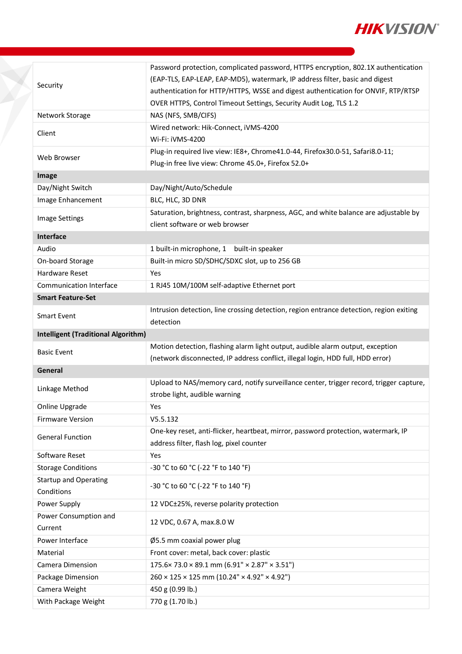

| (EAP-TLS, EAP-LEAP, EAP-MD5), watermark, IP address filter, basic and digest<br>Security<br>authentication for HTTP/HTTPS, WSSE and digest authentication for ONVIF, RTP/RTSP<br>OVER HTTPS, Control Timeout Settings, Security Audit Log, TLS 1.2<br>NAS (NFS, SMB/CIFS)<br>Network Storage<br>Wired network: Hik-Connect, iVMS-4200<br>Client<br>Wi-Fi: iVMS-4200<br>Plug-in required live view: IE8+, Chrome41.0-44, Firefox30.0-51, Safari8.0-11;<br>Web Browser<br>Plug-in free live view: Chrome 45.0+, Firefox 52.0+<br>Image<br>Day/Night Switch<br>Day/Night/Auto/Schedule<br>Image Enhancement<br>BLC, HLC, 3D DNR<br>Saturation, brightness, contrast, sharpness, AGC, and white balance are adjustable by<br><b>Image Settings</b><br>client software or web browser<br>Interface<br>Audio<br>1 built-in microphone, 1 built-in speaker<br>Built-in micro SD/SDHC/SDXC slot, up to 256 GB<br>On-board Storage<br>Hardware Reset<br>Yes<br>1 RJ45 10M/100M self-adaptive Ethernet port<br>Communication Interface<br><b>Smart Feature-Set</b><br>Intrusion detection, line crossing detection, region entrance detection, region exiting<br><b>Smart Event</b><br>detection<br><b>Intelligent (Traditional Algorithm)</b><br>Motion detection, flashing alarm light output, audible alarm output, exception<br><b>Basic Event</b><br>(network disconnected, IP address conflict, illegal login, HDD full, HDD error)<br>General<br>Upload to NAS/memory card, notify surveillance center, trigger record, trigger capture,<br>Linkage Method<br>strobe light, audible warning<br>Online Upgrade<br>Yes<br><b>Firmware Version</b><br>V5.5.132<br>One-key reset, anti-flicker, heartbeat, mirror, password protection, watermark, IP<br><b>General Function</b><br>address filter, flash log, pixel counter<br>Software Reset<br>Yes<br><b>Storage Conditions</b><br>-30 °C to 60 °C (-22 °F to 140 °F)<br><b>Startup and Operating</b><br>-30 °C to 60 °C (-22 °F to 140 °F)<br>Conditions<br>Power Supply<br>12 VDC±25%, reverse polarity protection<br>Power Consumption and<br>12 VDC, 0.67 A, max.8.0 W<br>Current<br>Power Interface<br>Ø5.5 mm coaxial power plug<br>Material<br>Front cover: metal, back cover: plastic<br>$175.6 \times 73.0 \times 89.1$ mm $(6.91" \times 2.87" \times 3.51")$<br>Camera Dimension<br>$260 \times 125 \times 125$ mm (10.24" × 4.92" × 4.92")<br>Package Dimension<br>450 g (0.99 lb.)<br>Camera Weight<br>770 g (1.70 lb.)<br>With Package Weight |  | Password protection, complicated password, HTTPS encryption, 802.1X authentication |
|---------------------------------------------------------------------------------------------------------------------------------------------------------------------------------------------------------------------------------------------------------------------------------------------------------------------------------------------------------------------------------------------------------------------------------------------------------------------------------------------------------------------------------------------------------------------------------------------------------------------------------------------------------------------------------------------------------------------------------------------------------------------------------------------------------------------------------------------------------------------------------------------------------------------------------------------------------------------------------------------------------------------------------------------------------------------------------------------------------------------------------------------------------------------------------------------------------------------------------------------------------------------------------------------------------------------------------------------------------------------------------------------------------------------------------------------------------------------------------------------------------------------------------------------------------------------------------------------------------------------------------------------------------------------------------------------------------------------------------------------------------------------------------------------------------------------------------------------------------------------------------------------------------------------------------------------------------------------------------------------------------------------------------------------------------------------------------------------------------------------------------------------------------------------------------------------------------------------------------------------------------------------------------------------------------------------------------------------------------------------------------------------------------------------------------------------------------------------------------------------------------|--|------------------------------------------------------------------------------------|
|                                                                                                                                                                                                                                                                                                                                                                                                                                                                                                                                                                                                                                                                                                                                                                                                                                                                                                                                                                                                                                                                                                                                                                                                                                                                                                                                                                                                                                                                                                                                                                                                                                                                                                                                                                                                                                                                                                                                                                                                                                                                                                                                                                                                                                                                                                                                                                                                                                                                                                         |  |                                                                                    |
|                                                                                                                                                                                                                                                                                                                                                                                                                                                                                                                                                                                                                                                                                                                                                                                                                                                                                                                                                                                                                                                                                                                                                                                                                                                                                                                                                                                                                                                                                                                                                                                                                                                                                                                                                                                                                                                                                                                                                                                                                                                                                                                                                                                                                                                                                                                                                                                                                                                                                                         |  |                                                                                    |
|                                                                                                                                                                                                                                                                                                                                                                                                                                                                                                                                                                                                                                                                                                                                                                                                                                                                                                                                                                                                                                                                                                                                                                                                                                                                                                                                                                                                                                                                                                                                                                                                                                                                                                                                                                                                                                                                                                                                                                                                                                                                                                                                                                                                                                                                                                                                                                                                                                                                                                         |  |                                                                                    |
|                                                                                                                                                                                                                                                                                                                                                                                                                                                                                                                                                                                                                                                                                                                                                                                                                                                                                                                                                                                                                                                                                                                                                                                                                                                                                                                                                                                                                                                                                                                                                                                                                                                                                                                                                                                                                                                                                                                                                                                                                                                                                                                                                                                                                                                                                                                                                                                                                                                                                                         |  |                                                                                    |
|                                                                                                                                                                                                                                                                                                                                                                                                                                                                                                                                                                                                                                                                                                                                                                                                                                                                                                                                                                                                                                                                                                                                                                                                                                                                                                                                                                                                                                                                                                                                                                                                                                                                                                                                                                                                                                                                                                                                                                                                                                                                                                                                                                                                                                                                                                                                                                                                                                                                                                         |  |                                                                                    |
|                                                                                                                                                                                                                                                                                                                                                                                                                                                                                                                                                                                                                                                                                                                                                                                                                                                                                                                                                                                                                                                                                                                                                                                                                                                                                                                                                                                                                                                                                                                                                                                                                                                                                                                                                                                                                                                                                                                                                                                                                                                                                                                                                                                                                                                                                                                                                                                                                                                                                                         |  |                                                                                    |
|                                                                                                                                                                                                                                                                                                                                                                                                                                                                                                                                                                                                                                                                                                                                                                                                                                                                                                                                                                                                                                                                                                                                                                                                                                                                                                                                                                                                                                                                                                                                                                                                                                                                                                                                                                                                                                                                                                                                                                                                                                                                                                                                                                                                                                                                                                                                                                                                                                                                                                         |  |                                                                                    |
|                                                                                                                                                                                                                                                                                                                                                                                                                                                                                                                                                                                                                                                                                                                                                                                                                                                                                                                                                                                                                                                                                                                                                                                                                                                                                                                                                                                                                                                                                                                                                                                                                                                                                                                                                                                                                                                                                                                                                                                                                                                                                                                                                                                                                                                                                                                                                                                                                                                                                                         |  |                                                                                    |
|                                                                                                                                                                                                                                                                                                                                                                                                                                                                                                                                                                                                                                                                                                                                                                                                                                                                                                                                                                                                                                                                                                                                                                                                                                                                                                                                                                                                                                                                                                                                                                                                                                                                                                                                                                                                                                                                                                                                                                                                                                                                                                                                                                                                                                                                                                                                                                                                                                                                                                         |  |                                                                                    |
|                                                                                                                                                                                                                                                                                                                                                                                                                                                                                                                                                                                                                                                                                                                                                                                                                                                                                                                                                                                                                                                                                                                                                                                                                                                                                                                                                                                                                                                                                                                                                                                                                                                                                                                                                                                                                                                                                                                                                                                                                                                                                                                                                                                                                                                                                                                                                                                                                                                                                                         |  |                                                                                    |
|                                                                                                                                                                                                                                                                                                                                                                                                                                                                                                                                                                                                                                                                                                                                                                                                                                                                                                                                                                                                                                                                                                                                                                                                                                                                                                                                                                                                                                                                                                                                                                                                                                                                                                                                                                                                                                                                                                                                                                                                                                                                                                                                                                                                                                                                                                                                                                                                                                                                                                         |  |                                                                                    |
|                                                                                                                                                                                                                                                                                                                                                                                                                                                                                                                                                                                                                                                                                                                                                                                                                                                                                                                                                                                                                                                                                                                                                                                                                                                                                                                                                                                                                                                                                                                                                                                                                                                                                                                                                                                                                                                                                                                                                                                                                                                                                                                                                                                                                                                                                                                                                                                                                                                                                                         |  |                                                                                    |
|                                                                                                                                                                                                                                                                                                                                                                                                                                                                                                                                                                                                                                                                                                                                                                                                                                                                                                                                                                                                                                                                                                                                                                                                                                                                                                                                                                                                                                                                                                                                                                                                                                                                                                                                                                                                                                                                                                                                                                                                                                                                                                                                                                                                                                                                                                                                                                                                                                                                                                         |  |                                                                                    |
|                                                                                                                                                                                                                                                                                                                                                                                                                                                                                                                                                                                                                                                                                                                                                                                                                                                                                                                                                                                                                                                                                                                                                                                                                                                                                                                                                                                                                                                                                                                                                                                                                                                                                                                                                                                                                                                                                                                                                                                                                                                                                                                                                                                                                                                                                                                                                                                                                                                                                                         |  |                                                                                    |
|                                                                                                                                                                                                                                                                                                                                                                                                                                                                                                                                                                                                                                                                                                                                                                                                                                                                                                                                                                                                                                                                                                                                                                                                                                                                                                                                                                                                                                                                                                                                                                                                                                                                                                                                                                                                                                                                                                                                                                                                                                                                                                                                                                                                                                                                                                                                                                                                                                                                                                         |  |                                                                                    |
|                                                                                                                                                                                                                                                                                                                                                                                                                                                                                                                                                                                                                                                                                                                                                                                                                                                                                                                                                                                                                                                                                                                                                                                                                                                                                                                                                                                                                                                                                                                                                                                                                                                                                                                                                                                                                                                                                                                                                                                                                                                                                                                                                                                                                                                                                                                                                                                                                                                                                                         |  |                                                                                    |
|                                                                                                                                                                                                                                                                                                                                                                                                                                                                                                                                                                                                                                                                                                                                                                                                                                                                                                                                                                                                                                                                                                                                                                                                                                                                                                                                                                                                                                                                                                                                                                                                                                                                                                                                                                                                                                                                                                                                                                                                                                                                                                                                                                                                                                                                                                                                                                                                                                                                                                         |  |                                                                                    |
|                                                                                                                                                                                                                                                                                                                                                                                                                                                                                                                                                                                                                                                                                                                                                                                                                                                                                                                                                                                                                                                                                                                                                                                                                                                                                                                                                                                                                                                                                                                                                                                                                                                                                                                                                                                                                                                                                                                                                                                                                                                                                                                                                                                                                                                                                                                                                                                                                                                                                                         |  |                                                                                    |
|                                                                                                                                                                                                                                                                                                                                                                                                                                                                                                                                                                                                                                                                                                                                                                                                                                                                                                                                                                                                                                                                                                                                                                                                                                                                                                                                                                                                                                                                                                                                                                                                                                                                                                                                                                                                                                                                                                                                                                                                                                                                                                                                                                                                                                                                                                                                                                                                                                                                                                         |  |                                                                                    |
|                                                                                                                                                                                                                                                                                                                                                                                                                                                                                                                                                                                                                                                                                                                                                                                                                                                                                                                                                                                                                                                                                                                                                                                                                                                                                                                                                                                                                                                                                                                                                                                                                                                                                                                                                                                                                                                                                                                                                                                                                                                                                                                                                                                                                                                                                                                                                                                                                                                                                                         |  |                                                                                    |
|                                                                                                                                                                                                                                                                                                                                                                                                                                                                                                                                                                                                                                                                                                                                                                                                                                                                                                                                                                                                                                                                                                                                                                                                                                                                                                                                                                                                                                                                                                                                                                                                                                                                                                                                                                                                                                                                                                                                                                                                                                                                                                                                                                                                                                                                                                                                                                                                                                                                                                         |  |                                                                                    |
|                                                                                                                                                                                                                                                                                                                                                                                                                                                                                                                                                                                                                                                                                                                                                                                                                                                                                                                                                                                                                                                                                                                                                                                                                                                                                                                                                                                                                                                                                                                                                                                                                                                                                                                                                                                                                                                                                                                                                                                                                                                                                                                                                                                                                                                                                                                                                                                                                                                                                                         |  |                                                                                    |
|                                                                                                                                                                                                                                                                                                                                                                                                                                                                                                                                                                                                                                                                                                                                                                                                                                                                                                                                                                                                                                                                                                                                                                                                                                                                                                                                                                                                                                                                                                                                                                                                                                                                                                                                                                                                                                                                                                                                                                                                                                                                                                                                                                                                                                                                                                                                                                                                                                                                                                         |  |                                                                                    |
|                                                                                                                                                                                                                                                                                                                                                                                                                                                                                                                                                                                                                                                                                                                                                                                                                                                                                                                                                                                                                                                                                                                                                                                                                                                                                                                                                                                                                                                                                                                                                                                                                                                                                                                                                                                                                                                                                                                                                                                                                                                                                                                                                                                                                                                                                                                                                                                                                                                                                                         |  |                                                                                    |
|                                                                                                                                                                                                                                                                                                                                                                                                                                                                                                                                                                                                                                                                                                                                                                                                                                                                                                                                                                                                                                                                                                                                                                                                                                                                                                                                                                                                                                                                                                                                                                                                                                                                                                                                                                                                                                                                                                                                                                                                                                                                                                                                                                                                                                                                                                                                                                                                                                                                                                         |  |                                                                                    |
|                                                                                                                                                                                                                                                                                                                                                                                                                                                                                                                                                                                                                                                                                                                                                                                                                                                                                                                                                                                                                                                                                                                                                                                                                                                                                                                                                                                                                                                                                                                                                                                                                                                                                                                                                                                                                                                                                                                                                                                                                                                                                                                                                                                                                                                                                                                                                                                                                                                                                                         |  |                                                                                    |
|                                                                                                                                                                                                                                                                                                                                                                                                                                                                                                                                                                                                                                                                                                                                                                                                                                                                                                                                                                                                                                                                                                                                                                                                                                                                                                                                                                                                                                                                                                                                                                                                                                                                                                                                                                                                                                                                                                                                                                                                                                                                                                                                                                                                                                                                                                                                                                                                                                                                                                         |  |                                                                                    |
|                                                                                                                                                                                                                                                                                                                                                                                                                                                                                                                                                                                                                                                                                                                                                                                                                                                                                                                                                                                                                                                                                                                                                                                                                                                                                                                                                                                                                                                                                                                                                                                                                                                                                                                                                                                                                                                                                                                                                                                                                                                                                                                                                                                                                                                                                                                                                                                                                                                                                                         |  |                                                                                    |
|                                                                                                                                                                                                                                                                                                                                                                                                                                                                                                                                                                                                                                                                                                                                                                                                                                                                                                                                                                                                                                                                                                                                                                                                                                                                                                                                                                                                                                                                                                                                                                                                                                                                                                                                                                                                                                                                                                                                                                                                                                                                                                                                                                                                                                                                                                                                                                                                                                                                                                         |  |                                                                                    |
|                                                                                                                                                                                                                                                                                                                                                                                                                                                                                                                                                                                                                                                                                                                                                                                                                                                                                                                                                                                                                                                                                                                                                                                                                                                                                                                                                                                                                                                                                                                                                                                                                                                                                                                                                                                                                                                                                                                                                                                                                                                                                                                                                                                                                                                                                                                                                                                                                                                                                                         |  |                                                                                    |
|                                                                                                                                                                                                                                                                                                                                                                                                                                                                                                                                                                                                                                                                                                                                                                                                                                                                                                                                                                                                                                                                                                                                                                                                                                                                                                                                                                                                                                                                                                                                                                                                                                                                                                                                                                                                                                                                                                                                                                                                                                                                                                                                                                                                                                                                                                                                                                                                                                                                                                         |  |                                                                                    |
|                                                                                                                                                                                                                                                                                                                                                                                                                                                                                                                                                                                                                                                                                                                                                                                                                                                                                                                                                                                                                                                                                                                                                                                                                                                                                                                                                                                                                                                                                                                                                                                                                                                                                                                                                                                                                                                                                                                                                                                                                                                                                                                                                                                                                                                                                                                                                                                                                                                                                                         |  |                                                                                    |
|                                                                                                                                                                                                                                                                                                                                                                                                                                                                                                                                                                                                                                                                                                                                                                                                                                                                                                                                                                                                                                                                                                                                                                                                                                                                                                                                                                                                                                                                                                                                                                                                                                                                                                                                                                                                                                                                                                                                                                                                                                                                                                                                                                                                                                                                                                                                                                                                                                                                                                         |  |                                                                                    |
|                                                                                                                                                                                                                                                                                                                                                                                                                                                                                                                                                                                                                                                                                                                                                                                                                                                                                                                                                                                                                                                                                                                                                                                                                                                                                                                                                                                                                                                                                                                                                                                                                                                                                                                                                                                                                                                                                                                                                                                                                                                                                                                                                                                                                                                                                                                                                                                                                                                                                                         |  |                                                                                    |
|                                                                                                                                                                                                                                                                                                                                                                                                                                                                                                                                                                                                                                                                                                                                                                                                                                                                                                                                                                                                                                                                                                                                                                                                                                                                                                                                                                                                                                                                                                                                                                                                                                                                                                                                                                                                                                                                                                                                                                                                                                                                                                                                                                                                                                                                                                                                                                                                                                                                                                         |  |                                                                                    |
|                                                                                                                                                                                                                                                                                                                                                                                                                                                                                                                                                                                                                                                                                                                                                                                                                                                                                                                                                                                                                                                                                                                                                                                                                                                                                                                                                                                                                                                                                                                                                                                                                                                                                                                                                                                                                                                                                                                                                                                                                                                                                                                                                                                                                                                                                                                                                                                                                                                                                                         |  |                                                                                    |
|                                                                                                                                                                                                                                                                                                                                                                                                                                                                                                                                                                                                                                                                                                                                                                                                                                                                                                                                                                                                                                                                                                                                                                                                                                                                                                                                                                                                                                                                                                                                                                                                                                                                                                                                                                                                                                                                                                                                                                                                                                                                                                                                                                                                                                                                                                                                                                                                                                                                                                         |  |                                                                                    |
|                                                                                                                                                                                                                                                                                                                                                                                                                                                                                                                                                                                                                                                                                                                                                                                                                                                                                                                                                                                                                                                                                                                                                                                                                                                                                                                                                                                                                                                                                                                                                                                                                                                                                                                                                                                                                                                                                                                                                                                                                                                                                                                                                                                                                                                                                                                                                                                                                                                                                                         |  |                                                                                    |
|                                                                                                                                                                                                                                                                                                                                                                                                                                                                                                                                                                                                                                                                                                                                                                                                                                                                                                                                                                                                                                                                                                                                                                                                                                                                                                                                                                                                                                                                                                                                                                                                                                                                                                                                                                                                                                                                                                                                                                                                                                                                                                                                                                                                                                                                                                                                                                                                                                                                                                         |  |                                                                                    |
|                                                                                                                                                                                                                                                                                                                                                                                                                                                                                                                                                                                                                                                                                                                                                                                                                                                                                                                                                                                                                                                                                                                                                                                                                                                                                                                                                                                                                                                                                                                                                                                                                                                                                                                                                                                                                                                                                                                                                                                                                                                                                                                                                                                                                                                                                                                                                                                                                                                                                                         |  |                                                                                    |
|                                                                                                                                                                                                                                                                                                                                                                                                                                                                                                                                                                                                                                                                                                                                                                                                                                                                                                                                                                                                                                                                                                                                                                                                                                                                                                                                                                                                                                                                                                                                                                                                                                                                                                                                                                                                                                                                                                                                                                                                                                                                                                                                                                                                                                                                                                                                                                                                                                                                                                         |  |                                                                                    |
|                                                                                                                                                                                                                                                                                                                                                                                                                                                                                                                                                                                                                                                                                                                                                                                                                                                                                                                                                                                                                                                                                                                                                                                                                                                                                                                                                                                                                                                                                                                                                                                                                                                                                                                                                                                                                                                                                                                                                                                                                                                                                                                                                                                                                                                                                                                                                                                                                                                                                                         |  |                                                                                    |
|                                                                                                                                                                                                                                                                                                                                                                                                                                                                                                                                                                                                                                                                                                                                                                                                                                                                                                                                                                                                                                                                                                                                                                                                                                                                                                                                                                                                                                                                                                                                                                                                                                                                                                                                                                                                                                                                                                                                                                                                                                                                                                                                                                                                                                                                                                                                                                                                                                                                                                         |  |                                                                                    |
|                                                                                                                                                                                                                                                                                                                                                                                                                                                                                                                                                                                                                                                                                                                                                                                                                                                                                                                                                                                                                                                                                                                                                                                                                                                                                                                                                                                                                                                                                                                                                                                                                                                                                                                                                                                                                                                                                                                                                                                                                                                                                                                                                                                                                                                                                                                                                                                                                                                                                                         |  |                                                                                    |
|                                                                                                                                                                                                                                                                                                                                                                                                                                                                                                                                                                                                                                                                                                                                                                                                                                                                                                                                                                                                                                                                                                                                                                                                                                                                                                                                                                                                                                                                                                                                                                                                                                                                                                                                                                                                                                                                                                                                                                                                                                                                                                                                                                                                                                                                                                                                                                                                                                                                                                         |  |                                                                                    |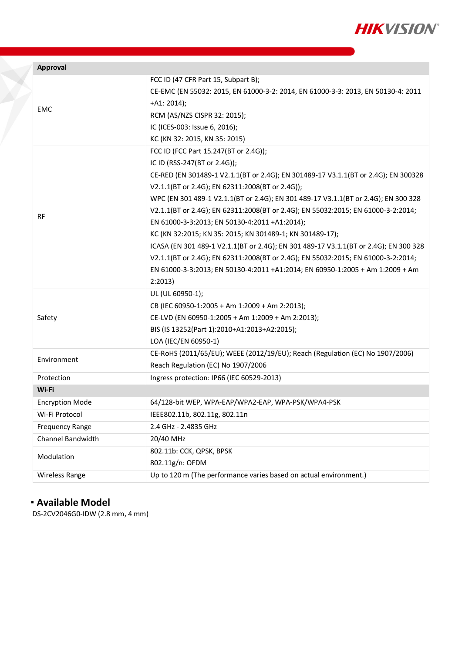

| Approval               |                                                                                      |  |
|------------------------|--------------------------------------------------------------------------------------|--|
|                        | FCC ID (47 CFR Part 15, Subpart B);                                                  |  |
|                        | CE-EMC (EN 55032: 2015, EN 61000-3-2: 2014, EN 61000-3-3: 2013, EN 50130-4: 2011     |  |
|                        | $+A1: 2014);$                                                                        |  |
| <b>EMC</b>             | RCM (AS/NZS CISPR 32: 2015);                                                         |  |
|                        | IC (ICES-003: Issue 6, 2016);                                                        |  |
|                        | KC (KN 32: 2015, KN 35: 2015)                                                        |  |
| RF                     | FCC ID (FCC Part 15.247(BT or 2.4G));                                                |  |
|                        | IC ID (RSS-247(BT or 2.4G));                                                         |  |
|                        | CE-RED (EN 301489-1 V2.1.1(BT or 2.4G); EN 301489-17 V3.1.1(BT or 2.4G); EN 300328   |  |
|                        | V2.1.1(BT or 2.4G); EN 62311:2008(BT or 2.4G));                                      |  |
|                        | WPC (EN 301 489-1 V2.1.1(BT or 2.4G); EN 301 489-17 V3.1.1(BT or 2.4G); EN 300 328   |  |
|                        | V2.1.1(BT or 2.4G); EN 62311:2008(BT or 2.4G); EN 55032:2015; EN 61000-3-2:2014;     |  |
|                        | EN 61000-3-3:2013; EN 50130-4:2011 +A1:2014);                                        |  |
|                        | KC (KN 32:2015; KN 35: 2015; KN 301489-1; KN 301489-17);                             |  |
|                        | ICASA (EN 301 489-1 V2.1.1(BT or 2.4G); EN 301 489-17 V3.1.1(BT or 2.4G); EN 300 328 |  |
|                        | V2.1.1(BT or 2.4G); EN 62311:2008(BT or 2.4G); EN 55032:2015; EN 61000-3-2:2014;     |  |
|                        | EN 61000-3-3:2013; EN 50130-4:2011 +A1:2014; EN 60950-1:2005 + Am 1:2009 + Am        |  |
|                        | 2:2013                                                                               |  |
|                        | UL (UL 60950-1);                                                                     |  |
|                        | CB (IEC 60950-1:2005 + Am 1:2009 + Am 2:2013);                                       |  |
| Safety                 | CE-LVD (EN 60950-1:2005 + Am 1:2009 + Am 2:2013);                                    |  |
|                        | BIS (IS 13252(Part 1):2010+A1:2013+A2:2015);                                         |  |
|                        | LOA (IEC/EN 60950-1)                                                                 |  |
| Environment            | CE-RoHS (2011/65/EU); WEEE (2012/19/EU); Reach (Regulation (EC) No 1907/2006)        |  |
|                        | Reach Regulation (EC) No 1907/2006                                                   |  |
| Protection             | Ingress protection: IP66 (IEC 60529-2013)                                            |  |
| Wi-Fi                  |                                                                                      |  |
| <b>Encryption Mode</b> | 64/128-bit WEP, WPA-EAP/WPA2-EAP, WPA-PSK/WPA4-PSK                                   |  |
| Wi-Fi Protocol         | IEEE802.11b, 802.11g, 802.11n                                                        |  |
| <b>Frequency Range</b> | 2.4 GHz - 2.4835 GHz                                                                 |  |
| Channel Bandwidth      | 20/40 MHz                                                                            |  |
| Modulation             | 802.11b: CCK, QPSK, BPSK                                                             |  |
|                        | 802.11g/n: OFDM                                                                      |  |
| Wireless Range         | Up to 120 m (The performance varies based on actual environment.)                    |  |

## **Available Model**

F

DS-2CV2046G0-IDW (2.8 mm, 4 mm)